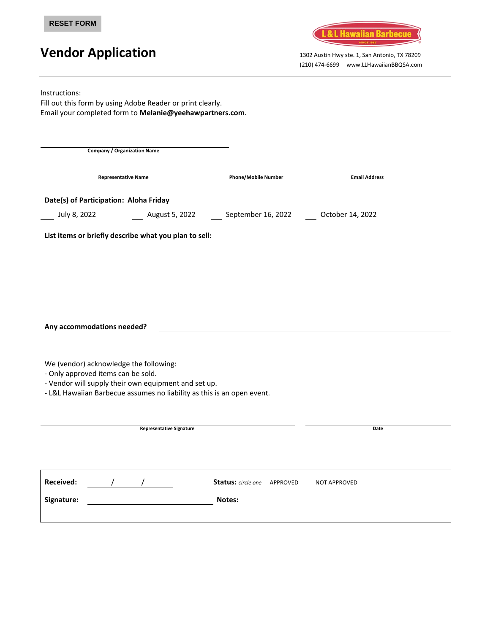

# **Vendor Application** 1302 Austin Hwy ste. 1, San Antonio, TX 78209

(210) 474-6699 www.LLHawaiianBBQSA.com

Instructions: Fill out this form by using Adobe Reader or print clearly. Email your completed form to **Melanie@yeehawpartners.com**. **Company / Organization Name Representative Name Phone/Mobile Number Email Address Date(s) of Participation: Aloha Friday** July 8, 2022 August 5, 2022 September 16, 2022 October 14, 2022 **List items or briefly describe what you plan to sell: Any accommodations needed?** We (vendor) acknowledge the following: - Only approved items can be sold. - Vendor will supply their own equipment and set up. - L&L Hawaiian Barbecue assumes no liability as this is an open event. **Representative Signature Date Received:** / / **Status:** *circle one*APPROVED NOT APPROVED **Signature: Notes:**